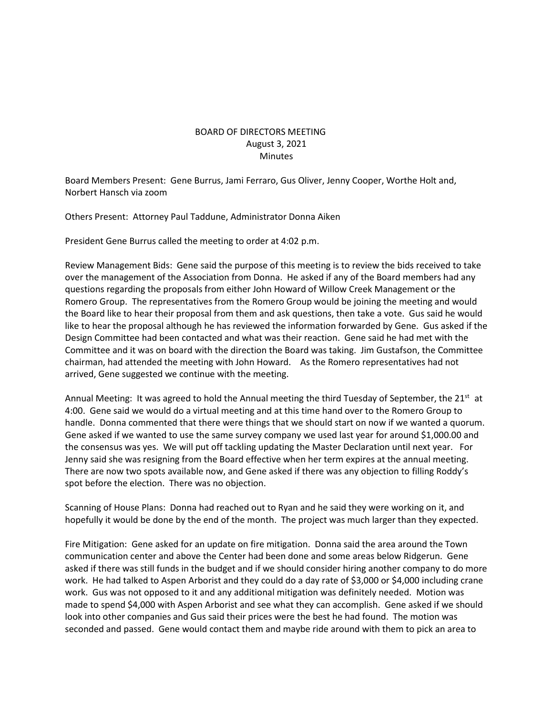## BOARD OF DIRECTORS MEETING August 3, 2021 **Minutes**

Board Members Present: Gene Burrus, Jami Ferraro, Gus Oliver, Jenny Cooper, Worthe Holt and, Norbert Hansch via zoom

Others Present: Attorney Paul Taddune, Administrator Donna Aiken

President Gene Burrus called the meeting to order at 4:02 p.m.

Review Management Bids: Gene said the purpose of this meeting is to review the bids received to take over the management of the Association from Donna. He asked if any of the Board members had any questions regarding the proposals from either John Howard of Willow Creek Management or the Romero Group. The representatives from the Romero Group would be joining the meeting and would the Board like to hear their proposal from them and ask questions, then take a vote. Gus said he would like to hear the proposal although he has reviewed the information forwarded by Gene. Gus asked if the Design Committee had been contacted and what was their reaction. Gene said he had met with the Committee and it was on board with the direction the Board was taking. Jim Gustafson, the Committee chairman, had attended the meeting with John Howard. As the Romero representatives had not arrived, Gene suggested we continue with the meeting.

Annual Meeting: It was agreed to hold the Annual meeting the third Tuesday of September, the 21<sup>st</sup> at 4:00. Gene said we would do a virtual meeting and at this time hand over to the Romero Group to handle. Donna commented that there were things that we should start on now if we wanted a quorum. Gene asked if we wanted to use the same survey company we used last year for around \$1,000.00 and the consensus was yes. We will put off tackling updating the Master Declaration until next year. For Jenny said she was resigning from the Board effective when her term expires at the annual meeting. There are now two spots available now, and Gene asked if there was any objection to filling Roddy's spot before the election. There was no objection.

Scanning of House Plans: Donna had reached out to Ryan and he said they were working on it, and hopefully it would be done by the end of the month. The project was much larger than they expected.

Fire Mitigation: Gene asked for an update on fire mitigation. Donna said the area around the Town communication center and above the Center had been done and some areas below Ridgerun. Gene asked if there was still funds in the budget and if we should consider hiring another company to do more work. He had talked to Aspen Arborist and they could do a day rate of \$3,000 or \$4,000 including crane work. Gus was not opposed to it and any additional mitigation was definitely needed. Motion was made to spend \$4,000 with Aspen Arborist and see what they can accomplish. Gene asked if we should look into other companies and Gus said their prices were the best he had found. The motion was seconded and passed. Gene would contact them and maybe ride around with them to pick an area to